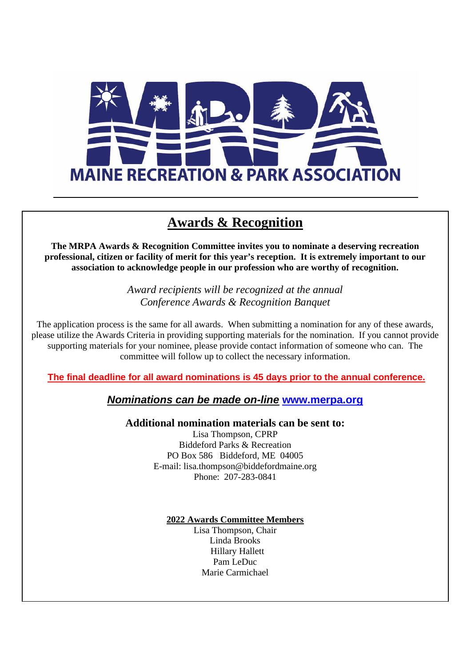

### **Awards & Recognition**

**The MRPA Awards & Recognition Committee invites you to nominate a deserving recreation professional, citizen or facility of merit for this year's reception. It is extremely important to our association to acknowledge people in our profession who are worthy of recognition.**

> *Award recipients will be recognized at the annual Conference Awards & Recognition Banquet*

The application process is the same for all awards. When submitting a nomination for any of these awards, please utilize the Awards Criteria in providing supporting materials for the nomination. If you cannot provide supporting materials for your nominee, please provide contact information of someone who can. The committee will follow up to collect the necessary information.

**The final deadline for all award nominations is 45 days prior to the annual conference.**

*Nominations can be made on-line* **www.merpa.org**

**Additional nomination materials can be sent to:**

Lisa Thompson, CPRP Biddeford Parks & Recreation PO Box 586 Biddeford, ME 04005 E-mail: lisa.thompson@biddefordmaine.org Phone: 207-283-0841

#### **2022 Awards Committee Members**

Lisa Thompson, Chair Linda Brooks Hillary Hallett Pam LeDuc Marie Carmichael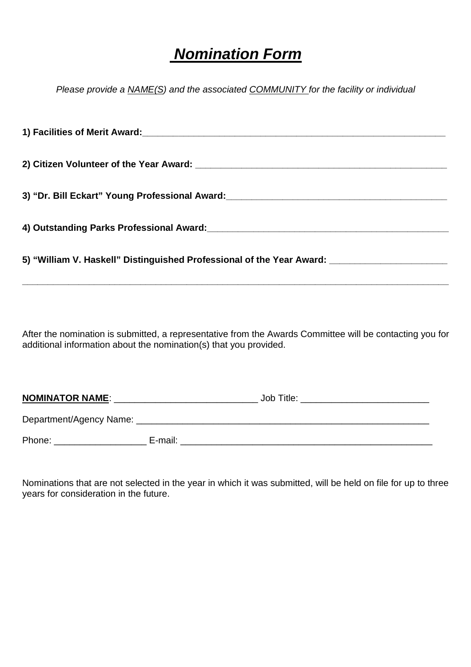# *Nomination Form*

*Please provide a NAME(S) and the associated COMMUNITY for the facility or individual*

| 3) "Dr. Bill Eckart" Young Professional Award: [19] [2010] [2010] [2010] [3] "Dr. Bill Eckart" Young Professional Award: |  |  |
|--------------------------------------------------------------------------------------------------------------------------|--|--|
|                                                                                                                          |  |  |
| 4) Outstanding Parks Professional Award: 2008 2010 2021 2022 2023 2024 2024 2022 2023 2024 2022 2023 2024 2022           |  |  |
|                                                                                                                          |  |  |
| 5) "William V. Haskell" Distinguished Professional of the Year Award:                                                    |  |  |

After the nomination is submitted, a representative from the Awards Committee will be contacting you for additional information about the nomination(s) that you provided.

**\_\_\_\_\_\_\_\_\_\_\_\_\_\_\_\_\_\_\_\_\_\_\_\_\_\_\_\_\_\_\_\_\_\_\_\_\_\_\_\_\_\_\_\_\_\_\_\_\_\_\_\_\_\_\_\_\_\_\_\_\_\_\_\_\_\_\_\_\_\_\_\_\_\_\_\_\_\_\_\_\_\_\_**

| <b>NOMINATOR NAME:</b>  |         | Job Title: |
|-------------------------|---------|------------|
| Department/Agency Name: |         |            |
| Phone:                  | E-mail: |            |

Nominations that are not selected in the year in which it was submitted, will be held on file for up to three years for consideration in the future.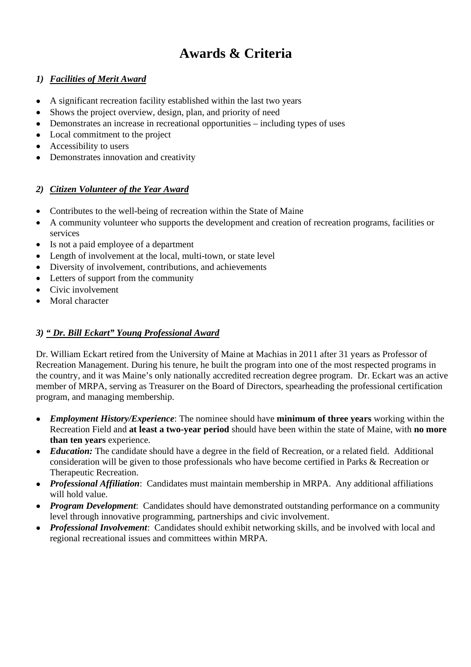## **Awards & Criteria**

#### *1) Facilities of Merit Award*

- A significant recreation facility established within the last two years
- Shows the project overview, design, plan, and priority of need
- Demonstrates an increase in recreational opportunities including types of uses
- Local commitment to the project
- Accessibility to users
- Demonstrates innovation and creativity

#### *2) Citizen Volunteer of the Year Award*

- Contributes to the well-being of recreation within the State of Maine
- A community volunteer who supports the development and creation of recreation programs, facilities or services
- Is not a paid employee of a department
- Length of involvement at the local, multi-town, or state level
- Diversity of involvement, contributions, and achievements
- Letters of support from the community
- Civic involvement
- Moral character

#### *3) " Dr. Bill Eckart" Young Professional Award*

Dr. William Eckart retired from the University of Maine at Machias in 2011 after 31 years as Professor of Recreation Management. During his tenure, he built the program into one of the most respected programs in the country, and it was Maine's only nationally accredited recreation degree program. Dr. Eckart was an active member of MRPA, serving as Treasurer on the Board of Directors, spearheading the professional certification program, and managing membership.

- *Employment History/Experience*: The nominee should have **minimum of three years** working within the Recreation Field and **at least a two-year period** should have been within the state of Maine, with **no more than ten years** experience.
- *Education:* The candidate should have a degree in the field of Recreation, or a related field. Additional consideration will be given to those professionals who have become certified in Parks & Recreation or Therapeutic Recreation.
- *Professional Affiliation*: Candidates must maintain membership in MRPA. Any additional affiliations will hold value.
- *Program Development*: Candidates should have demonstrated outstanding performance on a community level through innovative programming, partnerships and civic involvement.
- *Professional Involvement*: Candidates should exhibit networking skills, and be involved with local and regional recreational issues and committees within MRPA.